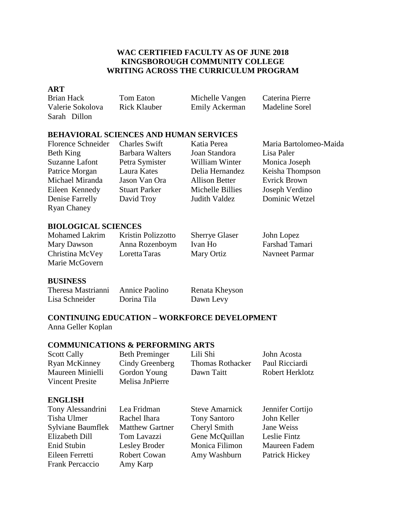# **WAC CERTIFIED FACULTY AS OF JUNE 2018 KINGSBOROUGH COMMUNITY COLLEGE WRITING ACROSS THE CURRICULUM PROGRAM**

#### **ART**

Valerie Sokolova Rick Klauber Emily Ackerman Madeline Sorel Sarah Dillon

Brian Hack Tom Eaton Michelle Vangen Caterina Pierre

# **BEHAVIORAL SCIENCES AND HUMAN SERVICES**

Florence Schneider Charles Swift Katia Perea Maria Bartolomeo-Maida Beth King Barbara Walters Joan Standora Lisa Paler Suzanne Lafont Petra Symister William Winter Monica Joseph Michael Miranda Jason Van Ora Allison Better Evrick Brown Eileen Kennedy Stuart Parker Michelle Billies Joseph Verdino Denise Farrelly David Troy Judith Valdez Dominic Wetzel Ryan Chaney

Patrice Morgan Laura Kates Delia Hernandez Keisha Thompson

# **BIOLOGICAL SCIENCES**

| Mohamed Lakrim  | Kristin Polizzotto | <b>Sherrye Glaser</b> | John Lopez     |
|-----------------|--------------------|-----------------------|----------------|
| Mary Dawson     | Anna Rozenboym     | Ivan Ho               | Farshad Tamari |
| Christina McVey | Loretta Taras      | Mary Ortiz            | Navneet Parmar |
| Marie McGovern  |                    |                       |                |

### **BUSINESS**

| Theresa Mastrianni | Annice Paolino | Renata Kheyson |
|--------------------|----------------|----------------|
| Lisa Schneider     | Dorina Tila    | Dawn Levy      |

# **CONTINUING EDUCATION – WORKFORCE DEVELOPMENT** Anna Geller Koplan

### **COMMUNICATIONS & PERFORMING ARTS**

| <b>Scott Cally</b>     | <b>Beth Preminger</b> | Lili Shi                | John Acosta            |
|------------------------|-----------------------|-------------------------|------------------------|
| Ryan McKinney          | Cindy Greenberg       | <b>Thomas Rothacker</b> | Paul Ricciardi         |
| Maureen Minielli       | Gordon Young          | Dawn Taitt              | <b>Robert Herklotz</b> |
| <b>Vincent Presite</b> | Melisa JnPierre       |                         |                        |

### **ENGLISH**

| Tony Alessandrini        | Lea Fridman            | <b>Steve Amarnick</b> | Jennifer Cortijo |
|--------------------------|------------------------|-----------------------|------------------|
| Tisha Ulmer              | Rachel Ihara           | <b>Tony Santoro</b>   | John Keller      |
| <b>Sylviane Baumflek</b> | <b>Matthew Gartner</b> | Cheryl Smith          | Jane Weiss       |
| Elizabeth Dill           | Tom Lavazzi            | Gene McQuillan        | Leslie Fintz     |
| Enid Stubin              | Lesley Broder          | Monica Filimon        | Maureen Fadem    |
| Eileen Ferretti          | <b>Robert Cowan</b>    | Amy Washburn          | Patrick Hickey   |
| <b>Frank Percaccio</b>   | Amy Karp               |                       |                  |
|                          |                        |                       |                  |